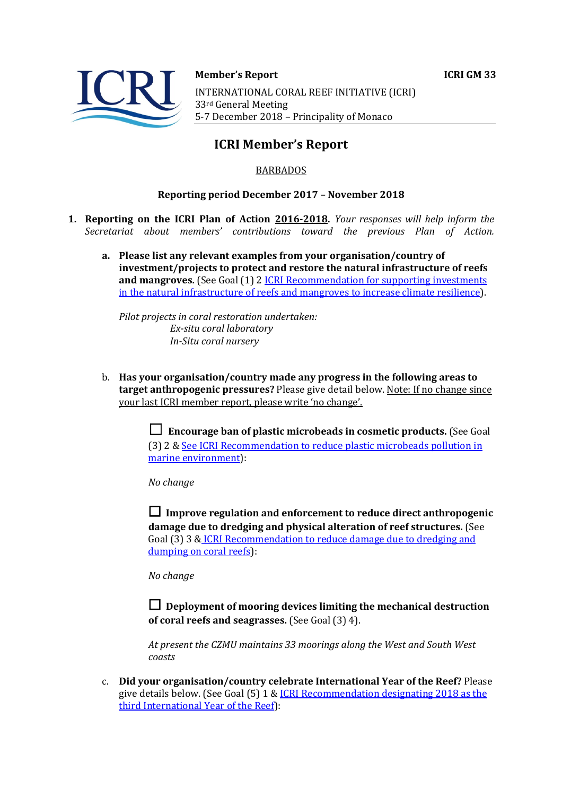

#### **Member's Report ICRI GM 33**

INTERNATIONAL CORAL REEF INITIATIVE (ICRI) 33rd General Meeting 5-7 December 2018 - Principality of Monaco

# **ICRI Member's Report**

## BARBADOS

#### **Reporting period December 2017 - November 2018**

- **1. Reporting on the ICRI Plan of Action 2016-2018.** *Your responses will help inform the Secretariat about members' contributions toward the previous Plan of Action.*
	- a. Please list any relevant examples from your organisation/country of **investment/projects to protect and restore the natural infrastructure of reefs and mangroves.** (See Goal (1) 2 *ICRI Recommendation for supporting investments* in the natural infrastructure of reefs and mangroves to increase climate resilience).

*Pilot projects in coral restoration undertaken: Ex-situ coral laboratory In-Situ coral nursery*

b. Has your organisation/country made any progress in the following areas to **target anthropogenic pressures?** Please give detail below. Note: If no change since your last ICRI member report, please write 'no change'.

> □ Encourage ban of plastic microbeads in cosmetic products. (See Goal (3) 2 & See ICRI Recommendation to reduce plastic microbeads pollution in marine environment):

*No change*

 $\Box$  Improve regulation and enforcement to reduce direct anthropogenic **damage due to dredging and physical alteration of reef structures.** (See Goal (3) 3 & ICRI Recommendation to reduce damage due to dredging and dumping on coral reefs):

*No change*

 $\Box$  Deployment of mooring devices limiting the mechanical destruction **of coral reefs and seagrasses.** (See Goal (3) 4).

At present the CZMU maintains 33 moorings along the West and South West *coasts*

c. **Did your organisation/country celebrate International Year of the Reef?** Please give details below. (See Goal  $(5)$  1 & ICRI Recommendation designating 2018 as the third International Year of the Reef):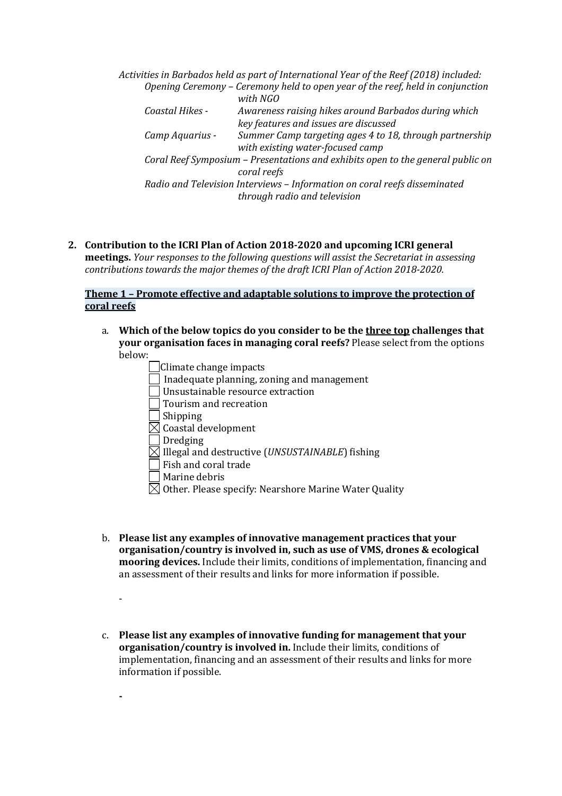Activities in Barbados held as part of International Year of the Reef (2018) included: *Opening Ceremony – Ceremony held to open year of the reef, held in conjunction with NGO Coastal Hikes*  $\cdot$  *Awareness raising hikes around Barbados during which key features and issues are discussed Camp Aquarius - Summer Camp targeting ages 4 to 18, through partnership with existing water-focused camp Coral Reef Symposium – Presentations and exhibits open to the general public on coral reefs* Radio and Television Interviews - Information on coral reefs disseminated *through radio and television*

2. Contribution to the ICRI Plan of Action 2018-2020 and upcoming ICRI general

**meetings.** *Your responses to the following questions will assist the Secretariat in assessing contributions towards the major themes of the draft ICRI Plan of Action 2018-2020.* 

### **Theme 1 - Promote effective and adaptable solutions to improve the protection of coral reefs**

a. Which of the below topics do you consider to be the three top challenges that **your organisation faces in managing coral reefs?** Please select from the options below:

| Climate change impacts                                |  |
|-------------------------------------------------------|--|
| Inadequate planning, zoning and management            |  |
| Unsustainable resource extraction                     |  |
| Tourism and recreation                                |  |
| Shipping                                              |  |
| Coastal development                                   |  |
| Dredging                                              |  |
| Illegal and destructive (UNSUSTAINABLE) fishing       |  |
| Fish and coral trade                                  |  |
| Marine debris                                         |  |
| Other. Please specify: Nearshore Marine Water Quality |  |

-

**-**

- b. **Please list any examples of innovative management practices that your organisation/country is involved in, such as use of VMS, drones & ecological mooring devices.** Include their limits, conditions of implementation, financing and an assessment of their results and links for more information if possible.
- c. Please list any examples of innovative funding for management that your **organisation/country is involved in.** Include their limits, conditions of implementation, financing and an assessment of their results and links for more information if possible.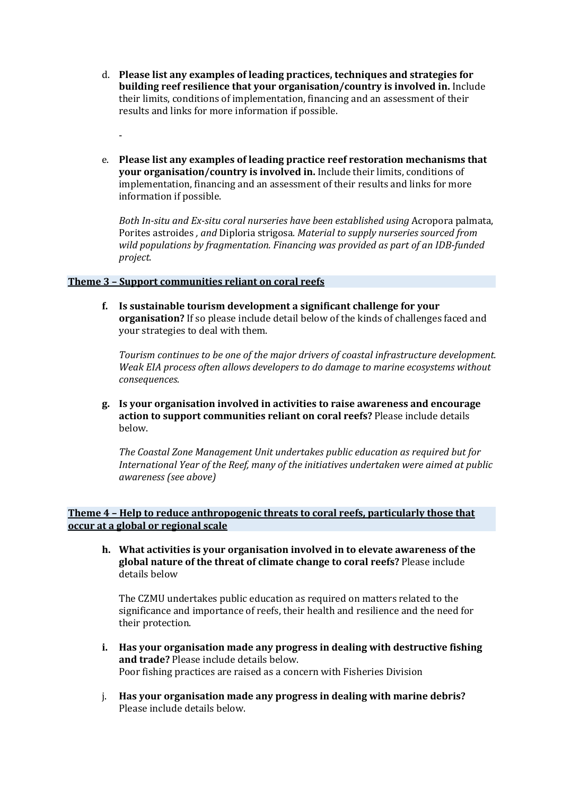- d. Please list any examples of leading practices, techniques and strategies for **building reef resilience that your organisation/country is involved in.** Include their limits, conditions of implementation, financing and an assessment of their results and links for more information if possible.
- e. Please list any examples of leading practice reef restoration mechanisms that **your organisation/country is involved in.** Include their limits, conditions of implementation, financing and an assessment of their results and links for more information if possible.

*Both In-situ and Ex-situ coral nurseries have been established using Acropora palmata,* Porites astroides, and Diploria strigosa. Material to supply nurseries sourced from wild populations by fragmentation. Financing was provided as part of an IDB-funded *project.*

#### **Theme 3 - Support communities reliant on coral reefs**

-

**f.** Is sustainable tourism development a significant challenge for your **organisation?** If so please include detail below of the kinds of challenges faced and your strategies to deal with them.

Tourism continues to be one of the major drivers of coastal infrastructure development. Weak EIA process often allows developers to do damage to marine ecosystems without *consequences.*

**g. Is your organisation involved in activities to raise awareness and encourage action to support communities reliant on coral reefs?** Please include details below.

The Coastal Zone Management Unit undertakes public education as required but for *International Year of the Reef, many of the initiatives undertaken were aimed at public awareness (see above)*

**Theme 4 - Help to reduce anthropogenic threats to coral reefs, particularly those that occur at a global or regional scale**

**h.** What activities is your organisation involved in to elevate awareness of the global nature of the threat of climate change to coral reefs? Please include details below

The CZMU undertakes public education as required on matters related to the significance and importance of reefs, their health and resilience and the need for their protection.

- **i.** Has your organisation made any progress in dealing with destructive fishing **and trade?** Please include details below. Poor fishing practices are raised as a concern with Fisheries Division
- j. Has your organisation made any progress in dealing with marine debris? Please include details below.